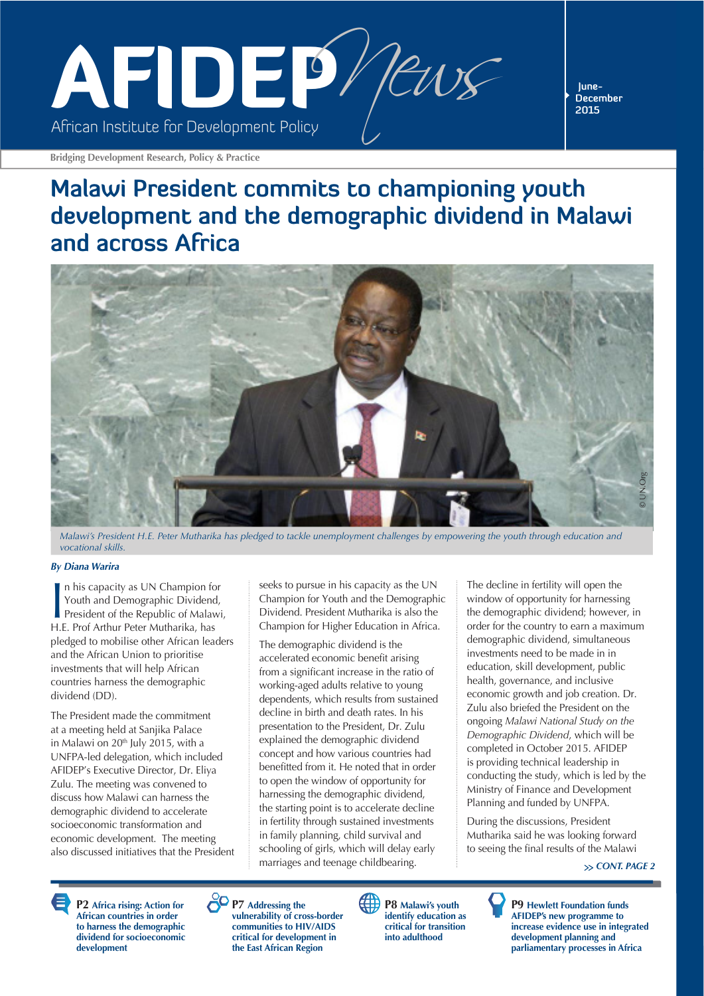

**December 2015**

**Bridging Development Research, Policy & Practice**

### **Malawi President commits to championing youth development and the demographic dividend in Malawi and across Africa**



*Malawi's President H.E. Peter Mutharika has pledged to tackle unemployment challenges by empowering the youth through education and vocational skills.* 

#### *By Diana Warira*

In his capacity as UN Champion fo<br>
Youth and Demographic Dividend<br>
President of the Republic of Malaw<br>
H.E. Prof Arthur Peter Mutharika, has n his capacity as UN Champion for Youth and Demographic Dividend, President of the Republic of Malawi, pledged to mobilise other African leaders and the African Union to prioritise investments that will help African countries harness the demographic dividend (DD).

The President made the commitment at a meeting held at Sanjika Palace in Malawi on 20<sup>th</sup> July 2015, with a UNFPA-led delegation, which included AFIDEP's Executive Director, Dr. Eliya Zulu. The meeting was convened to discuss how Malawi can harness the demographic dividend to accelerate socioeconomic transformation and economic development. The meeting also discussed initiatives that the President

seeks to pursue in his capacity as the UN Champion for Youth and the Demographic Dividend. President Mutharika is also the Champion for Higher Education in Africa.

The demographic dividend is the accelerated economic benefit arising from a significant increase in the ratio of working-aged adults relative to young dependents, which results from sustained decline in birth and death rates. In his presentation to the President, Dr. Zulu explained the demographic dividend concept and how various countries had benefitted from it. He noted that in order to open the window of opportunity for harnessing the demographic dividend, the starting point is to accelerate decline in fertility through sustained investments in family planning, child survival and schooling of girls, which will delay early marriages and teenage childbearing.

The decline in fertility will open the window of opportunity for harnessing the demographic dividend; however, in order for the country to earn a maximum demographic dividend, simultaneous investments need to be made in in education, skill development, public health, governance, and inclusive economic growth and job creation. Dr. Zulu also briefed the President on the ongoing *Malawi National Study on the Demographic Dividend*, which will be completed in October 2015. AFIDEP is providing technical leadership in conducting the study, which is led by the Ministry of Finance and Development Planning and funded by UNFPA.

During the discussions, President Mutharika said he was looking forward to seeing the final results of the Malawi

*CONT. PAGE 2*

**P2 Africa rising: Action for African countries in order to harness the demographic dividend for socioeconomic development**





**P8 Malawi's youth identify education as critical for transition into adulthood**

**P9 Hewlett Foundation funds AFIDEP's new programme to increase evidence use in integrated development planning and parliamentary processes in Africa**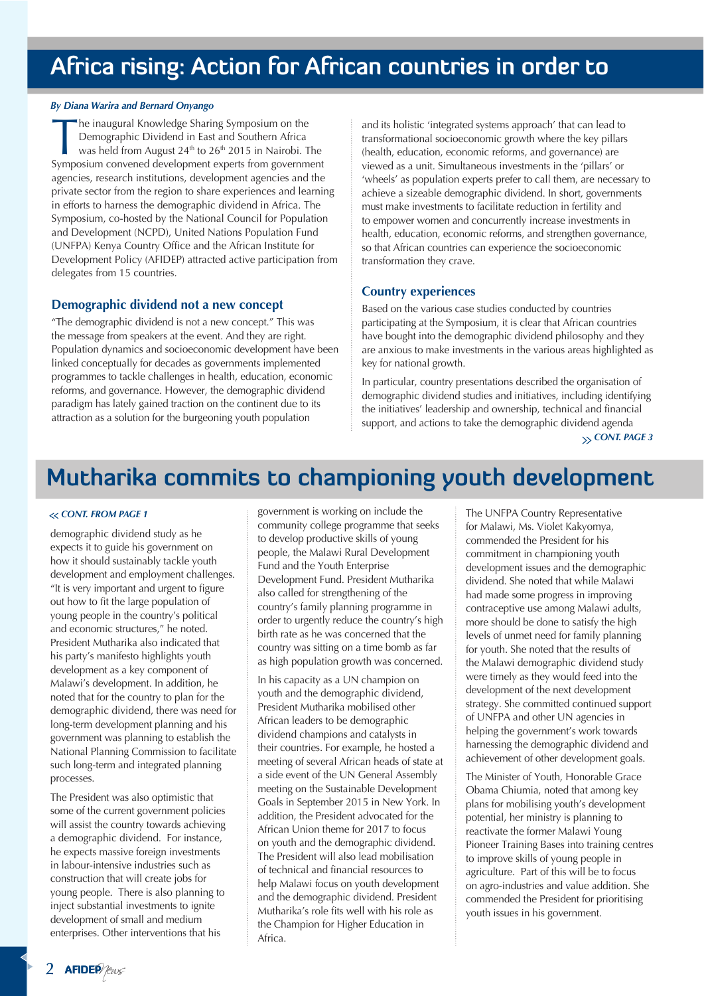### **Africa rising: Action for African countries in order to**

#### *By Diana Warira and Bernard Onyango*

The inaugural Knowledge Sharing Symposium on the<br>Demographic Dividend in East and Southern Africa<br>was held from August 24<sup>th</sup> to 26<sup>th</sup> 2015 in Nairobi. T<br>Symposium convened development experts from government Demographic Dividend in East and Southern Africa was held from August  $24<sup>th</sup>$  to  $26<sup>th</sup>$  2015 in Nairobi. The Symposium convened development experts from government agencies, research institutions, development agencies and the private sector from the region to share experiences and learning in efforts to harness the demographic dividend in Africa. The Symposium, co-hosted by the National Council for Population and Development (NCPD), United Nations Population Fund (UNFPA) Kenya Country Office and the African Institute for Development Policy (AFIDEP) attracted active participation from delegates from 15 countries.

#### **Demographic dividend not a new concept**

"The demographic dividend is not a new concept." This was the message from speakers at the event. And they are right. Population dynamics and socioeconomic development have been linked conceptually for decades as governments implemented programmes to tackle challenges in health, education, economic reforms, and governance. However, the demographic dividend paradigm has lately gained traction on the continent due to its attraction as a solution for the burgeoning youth population

and its holistic 'integrated systems approach' that can lead to transformational socioeconomic growth where the key pillars (health, education, economic reforms, and governance) are viewed as a unit. Simultaneous investments in the 'pillars' or 'wheels' as population experts prefer to call them, are necessary to achieve a sizeable demographic dividend. In short, governments must make investments to facilitate reduction in fertility and to empower women and concurrently increase investments in health, education, economic reforms, and strengthen governance, so that African countries can experience the socioeconomic transformation they crave.

#### **Country experiences**

Based on the various case studies conducted by countries participating at the Symposium, it is clear that African countries have bought into the demographic dividend philosophy and they are anxious to make investments in the various areas highlighted as key for national growth.

In particular, country presentations described the organisation of demographic dividend studies and initiatives, including identifying the initiatives' leadership and ownership, technical and financial support, and actions to take the demographic dividend agenda

*CONT. PAGE 3*

### **Mutharika commits to championing youth development**

demographic dividend study as he expects it to guide his government on how it should sustainably tackle youth development and employment challenges. "It is very important and urgent to figure out how to fit the large population of young people in the country's political and economic structures," he noted. President Mutharika also indicated that his party's manifesto highlights youth development as a key component of Malawi's development. In addition, he noted that for the country to plan for the demographic dividend, there was need for long-term development planning and his government was planning to establish the National Planning Commission to facilitate such long-term and integrated planning processes.

The President was also optimistic that some of the current government policies will assist the country towards achieving a demographic dividend. For instance, he expects massive foreign investments in labour-intensive industries such as construction that will create jobs for young people. There is also planning to inject substantial investments to ignite development of small and medium enterprises. Other interventions that his

government is working on include the community college programme that seeks to develop productive skills of young people, the Malawi Rural Development Fund and the Youth Enterprise Development Fund. President Mutharika also called for strengthening of the country's family planning programme in order to urgently reduce the country's high birth rate as he was concerned that the country was sitting on a time bomb as far as high population growth was concerned. *CONT. FROM PAGE 1* The UNFPA Country Representative

> In his capacity as a UN champion on youth and the demographic dividend, President Mutharika mobilised other African leaders to be demographic dividend champions and catalysts in their countries. For example, he hosted a meeting of several African heads of state at a side event of the UN General Assembly meeting on the Sustainable Development Goals in September 2015 in New York. In addition, the President advocated for the African Union theme for 2017 to focus on youth and the demographic dividend. The President will also lead mobilisation of technical and financial resources to help Malawi focus on youth development and the demographic dividend. President Mutharika's role fits well with his role as the Champion for Higher Education in Africa.

for Malawi, Ms. Violet Kakyomya, commended the President for his commitment in championing youth development issues and the demographic dividend. She noted that while Malawi had made some progress in improving contraceptive use among Malawi adults, more should be done to satisfy the high levels of unmet need for family planning for youth. She noted that the results of the Malawi demographic dividend study were timely as they would feed into the development of the next development strategy. She committed continued support of UNFPA and other UN agencies in helping the government's work towards harnessing the demographic dividend and achievement of other development goals.

The Minister of Youth, Honorable Grace Obama Chiumia, noted that among key plans for mobilising youth's development potential, her ministry is planning to reactivate the former Malawi Young Pioneer Training Bases into training centres to improve skills of young people in agriculture. Part of this will be to focus on agro-industries and value addition. She commended the President for prioritising youth issues in his government.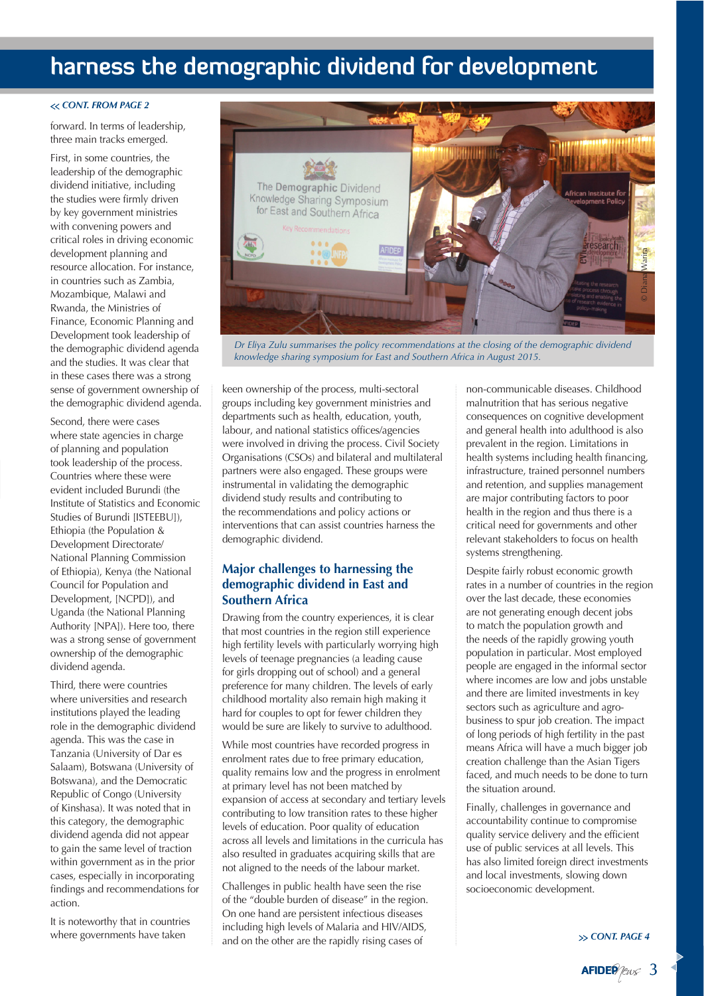### **harness the demographic dividend for development**

#### *CONT. FROM PAGE 2*

forward. In terms of leadership, three main tracks emerged.

First, in some countries, the leadership of the demographic dividend initiative, including the studies were firmly driven by key government ministries with convening powers and critical roles in driving economic development planning and resource allocation. For instance, in countries such as Zambia, Mozambique, Malawi and Rwanda, the Ministries of Finance, Economic Planning and Development took leadership of the demographic dividend agenda and the studies. It was clear that in these cases there was a strong sense of government ownership of the demographic dividend agenda.

Second, there were cases where state agencies in charge of planning and population took leadership of the process. Countries where these were evident included Burundi (the Institute of Statistics and Economic Studies of Burundi [ISTEEBU]), Ethiopia (the Population & Development Directorate/ National Planning Commission of Ethiopia), Kenya (the National Council for Population and Development, [NCPD]), and Uganda (the National Planning Authority [NPA]). Here too, there was a strong sense of government ownership of the demographic dividend agenda.

Third, there were countries where universities and research institutions played the leading role in the demographic dividend agenda. This was the case in Tanzania (University of Dar es Salaam), Botswana (University of Botswana), and the Democratic Republic of Congo (University of Kinshasa). It was noted that in this category, the demographic dividend agenda did not appear to gain the same level of traction within government as in the prior cases, especially in incorporating findings and recommendations for action.

It is noteworthy that in countries where governments have taken



*Dr Eliya Zulu summarises the policy recommendations at the closing of the demographic dividend knowledge sharing symposium for East and Southern Africa in August 2015.*

keen ownership of the process, multi-sectoral groups including key government ministries and departments such as health, education, youth, labour, and national statistics offices/agencies were involved in driving the process. Civil Society Organisations (CSOs) and bilateral and multilateral partners were also engaged. These groups were instrumental in validating the demographic dividend study results and contributing to the recommendations and policy actions or interventions that can assist countries harness the demographic dividend.

#### **Major challenges to harnessing the demographic dividend in East and Southern Africa**

Drawing from the country experiences, it is clear that most countries in the region still experience high fertility levels with particularly worrying high levels of teenage pregnancies (a leading cause for girls dropping out of school) and a general preference for many children. The levels of early childhood mortality also remain high making it hard for couples to opt for fewer children they would be sure are likely to survive to adulthood.

While most countries have recorded progress in enrolment rates due to free primary education, quality remains low and the progress in enrolment at primary level has not been matched by expansion of access at secondary and tertiary levels contributing to low transition rates to these higher levels of education. Poor quality of education across all levels and limitations in the curricula has also resulted in graduates acquiring skills that are not aligned to the needs of the labour market.

Challenges in public health have seen the rise of the "double burden of disease" in the region. On one hand are persistent infectious diseases including high levels of Malaria and HIV/AIDS, and on the other are the rapidly rising cases of

non-communicable diseases. Childhood malnutrition that has serious negative consequences on cognitive development and general health into adulthood is also prevalent in the region. Limitations in health systems including health financing, infrastructure, trained personnel numbers and retention, and supplies management are major contributing factors to poor health in the region and thus there is a critical need for governments and other relevant stakeholders to focus on health systems strengthening.

Despite fairly robust economic growth rates in a number of countries in the region over the last decade, these economies are not generating enough decent jobs to match the population growth and the needs of the rapidly growing youth population in particular. Most employed people are engaged in the informal sector where incomes are low and jobs unstable and there are limited investments in key sectors such as agriculture and agrobusiness to spur job creation. The impact of long periods of high fertility in the past means Africa will have a much bigger job creation challenge than the Asian Tigers faced, and much needs to be done to turn the situation around.

Finally, challenges in governance and accountability continue to compromise quality service delivery and the efficient use of public services at all levels. This has also limited foreign direct investments and local investments, slowing down socioeconomic development.

*CONT. PAGE 4*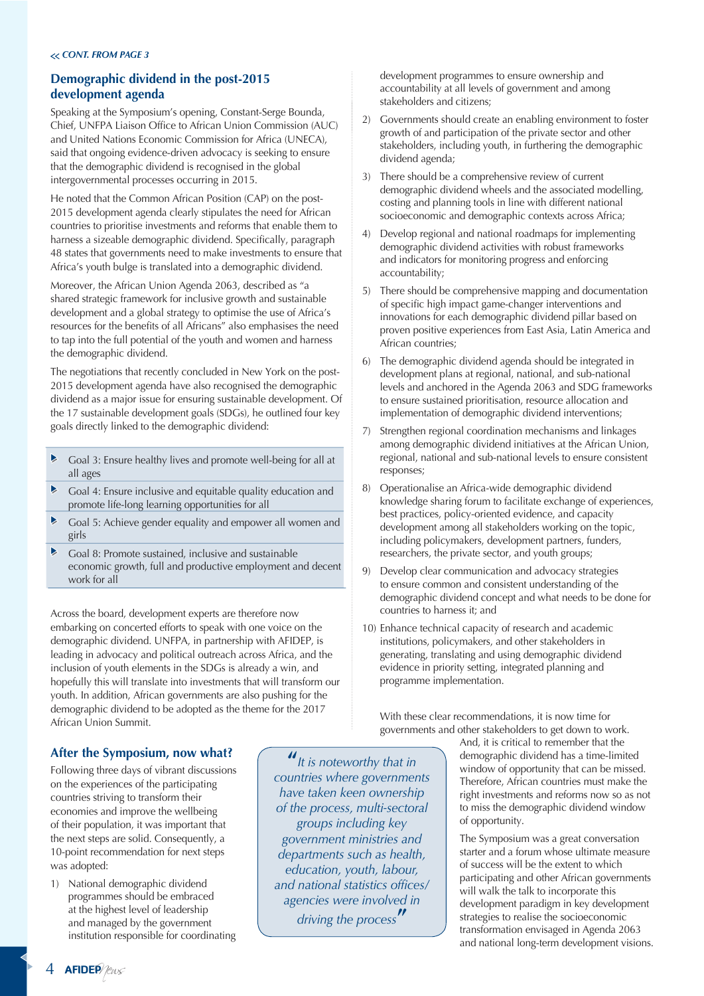#### *CONT. FROM PAGE 3*

#### **Demographic dividend in the post-2015 development agenda**

Speaking at the Symposium's opening, Constant-Serge Bounda, Chief, UNFPA Liaison Office to African Union Commission (AUC) and United Nations Economic Commission for Africa (UNECA), said that ongoing evidence-driven advocacy is seeking to ensure that the demographic dividend is recognised in the global intergovernmental processes occurring in 2015.

He noted that the Common African Position (CAP) on the post-2015 development agenda clearly stipulates the need for African countries to prioritise investments and reforms that enable them to harness a sizeable demographic dividend. Specifically, paragraph 48 states that governments need to make investments to ensure that Africa's youth bulge is translated into a demographic dividend.

Moreover, the African Union Agenda 2063, described as "a shared strategic framework for inclusive growth and sustainable development and a global strategy to optimise the use of Africa's resources for the benefits of all Africans" also emphasises the need to tap into the full potential of the youth and women and harness the demographic dividend.

The negotiations that recently concluded in New York on the post-2015 development agenda have also recognised the demographic dividend as a major issue for ensuring sustainable development. Of the 17 sustainable development goals (SDGs), he outlined four key goals directly linked to the demographic dividend:

- $\blacktriangleright$ Goal 3: Ensure healthy lives and promote well-being for all at all ages
- $\blacktriangleright$ Goal 4: Ensure inclusive and equitable quality education and promote life-long learning opportunities for all
- $\blacktriangleright$ Goal 5: Achieve gender equality and empower all women and girls
- $\blacktriangleright$ Goal 8: Promote sustained, inclusive and sustainable economic growth, full and productive employment and decent work for all

Across the board, development experts are therefore now embarking on concerted efforts to speak with one voice on the demographic dividend. UNFPA, in partnership with AFIDEP, is leading in advocacy and political outreach across Africa, and the inclusion of youth elements in the SDGs is already a win, and hopefully this will translate into investments that will transform our youth. In addition, African governments are also pushing for the demographic dividend to be adopted as the theme for the 2017 African Union Summit.

development programmes to ensure ownership and accountability at all levels of government and among stakeholders and citizens;

- 2) Governments should create an enabling environment to foster growth of and participation of the private sector and other stakeholders, including youth, in furthering the demographic dividend agenda;
- 3) There should be a comprehensive review of current demographic dividend wheels and the associated modelling, costing and planning tools in line with different national socioeconomic and demographic contexts across Africa;
- 4) Develop regional and national roadmaps for implementing demographic dividend activities with robust frameworks and indicators for monitoring progress and enforcing accountability;
- 5) There should be comprehensive mapping and documentation of specific high impact game-changer interventions and innovations for each demographic dividend pillar based on proven positive experiences from East Asia, Latin America and African countries;
- 6) The demographic dividend agenda should be integrated in development plans at regional, national, and sub-national levels and anchored in the Agenda 2063 and SDG frameworks to ensure sustained prioritisation, resource allocation and implementation of demographic dividend interventions;
- 7) Strengthen regional coordination mechanisms and linkages among demographic dividend initiatives at the African Union, regional, national and sub-national levels to ensure consistent responses;
- 8) Operationalise an Africa-wide demographic dividend knowledge sharing forum to facilitate exchange of experiences, best practices, policy-oriented evidence, and capacity development among all stakeholders working on the topic, including policymakers, development partners, funders, researchers, the private sector, and youth groups;
- 9) Develop clear communication and advocacy strategies to ensure common and consistent understanding of the demographic dividend concept and what needs to be done for countries to harness it; and
- 10) Enhance technical capacity of research and academic institutions, policymakers, and other stakeholders in generating, translating and using demographic dividend evidence in priority setting, integrated planning and programme implementation.

With these clear recommendations, it is now time for governments and other stakeholders to get down to work.

**After the Symposium, now what?**

Following three days of vibrant discussions on the experiences of the participating countries striving to transform their economies and improve the wellbeing of their population, it was important that the next steps are solid. Consequently, a 10-point recommendation for next steps was adopted:

1) National demographic dividend programmes should be embraced at the highest level of leadership and managed by the government institution responsible for coordinating

**"***It is noteworthy that in countries where governments have taken keen ownership of the process, multi-sectoral groups including key government ministries and departments such as health, education, youth, labour,*  and national statistics offices/ *agencies were involved in driving the process***"**

And, it is critical to remember that the demographic dividend has a time-limited window of opportunity that can be missed. Therefore, African countries must make the right investments and reforms now so as not to miss the demographic dividend window of opportunity.

The Symposium was a great conversation starter and a forum whose ultimate measure of success will be the extent to which participating and other African governments will walk the talk to incorporate this development paradigm in key development strategies to realise the socioeconomic transformation envisaged in Agenda 2063 and national long-term development visions.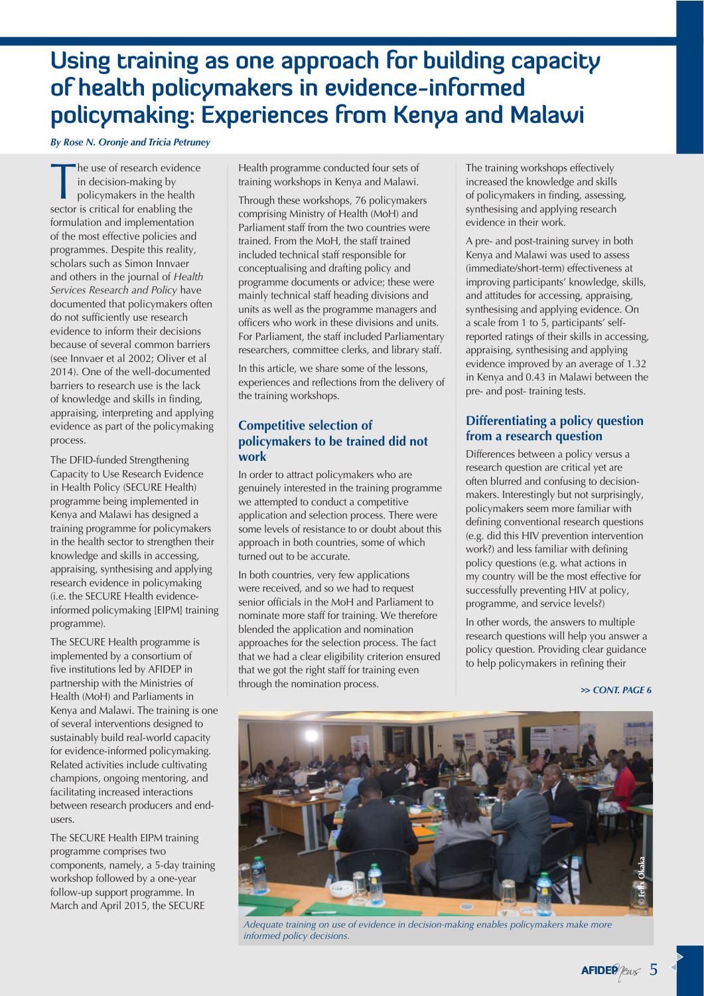### **Using training as one approach for building capacity of health policymakers in evidence-informed policymaking: Experiences from Kenya and Malawi**

*By Rose N. Oronje and Tricia Petruney*

he use of research evidence in decision-making by policymakers in the health sector is critical for enabling the formulation and implementation of the most effective policies and programmes. Despite this reality, scholars such as Simon Innvaer and others in the journal of *Health Services Research and Policy* have documented that policymakers often do not sufficiently use research evidence to inform their decisions because of several common barriers (see Innvaer et al 2002; Oliver et al 2014). One of the well-documented barriers to research use is the lack of knowledge and skills in finding, appraising, interpreting and applying evidence as part of the policymaking process.

The DFID-funded Strengthening Capacity to Use Research Evidence in Health Policy (SECURE Health) programme being implemented in Kenya and Malawi has designed a training programme for policymakers in the health sector to strengthen their knowledge and skills in accessing, appraising, synthesising and applying research evidence in policymaking (i.e. the SECURE Health evidenceinformed policymaking [EIPM] training programme).

The SECURE Health programme is implemented by a consortium of five institutions led by AFIDEP in partnership with the Ministries of Health (MoH) and Parliaments in Kenya and Malawi. The training is one of several interventions designed to sustainably build real-world capacity for evidence-informed policymaking. Related activities include cultivating champions, ongoing mentoring, and facilitating increased interactions between research producers and endusers.

The SECURE Health EIPM training programme comprises two components, namely, a 5-day training workshop followed by a one-year follow-up support programme. In March and April 2015, the SECURE

Health programme conducted four sets of training workshops in Kenya and Malawi.

Through these workshops, 76 policymakers comprising Ministry of Health (MoH) and Parliament staff from the two countries were trained. From the MoH, the staff trained included technical staff responsible for conceptualising and drafting policy and programme documents or advice; these were mainly technical staff heading divisions and units as well as the programme managers and officers who work in these divisions and units. For Parliament, the staff included Parliamentary researchers, committee clerks, and library staff.

In this article, we share some of the lessons, experiences and reflections from the delivery of the training workshops.

#### **Competitive selection of policymakers to be trained did not work**

In order to attract policymakers who are genuinely interested in the training programme we attempted to conduct a competitive application and selection process. There were some levels of resistance to or doubt about this approach in both countries, some of which turned out to be accurate.

In both countries, very few applications were received, and so we had to request senior officials in the MoH and Parliament to nominate more staff for training. We therefore blended the application and nomination approaches for the selection process. The fact that we had a clear eligibility criterion ensured that we got the right staff for training even through the nomination process.

The training workshops effectively increased the knowledge and skills of policymakers in finding, assessing, synthesising and applying research evidence in their work.

A pre- and post-training survey in both Kenya and Malawi was used to assess (immediate/short-term) effectiveness at improving participants' knowledge, skills, and attitudes for accessing, appraising, synthesising and applying evidence. On a scale from 1 to 5, participants' selfreported ratings of their skills in accessing, appraising, synthesising and applying evidence improved by an average of 1.32 in Kenya and 0.43 in Malawi between the pre- and post- training tests.

### **Differentiating a policy question from a research question**

Differences between a policy versus a research question are critical yet are often blurred and confusing to decisionmakers. Interestingly but not surprisingly, policymakers seem more familiar with defining conventional research questions (e.g. did this HIV prevention intervention work?) and less familiar with defining policy questions (e.g. what actions in my country will be the most effective for successfully preventing HIV at policy, programme, and service levels?)

In other words, the answers to multiple research questions will help you answer a policy question. Providing clear guidance to help policymakers in refining their

#### *CONT. PAGE 6*



*Adequate training on use of evidence in decision-making enables policymakers make more informed policy decisions.*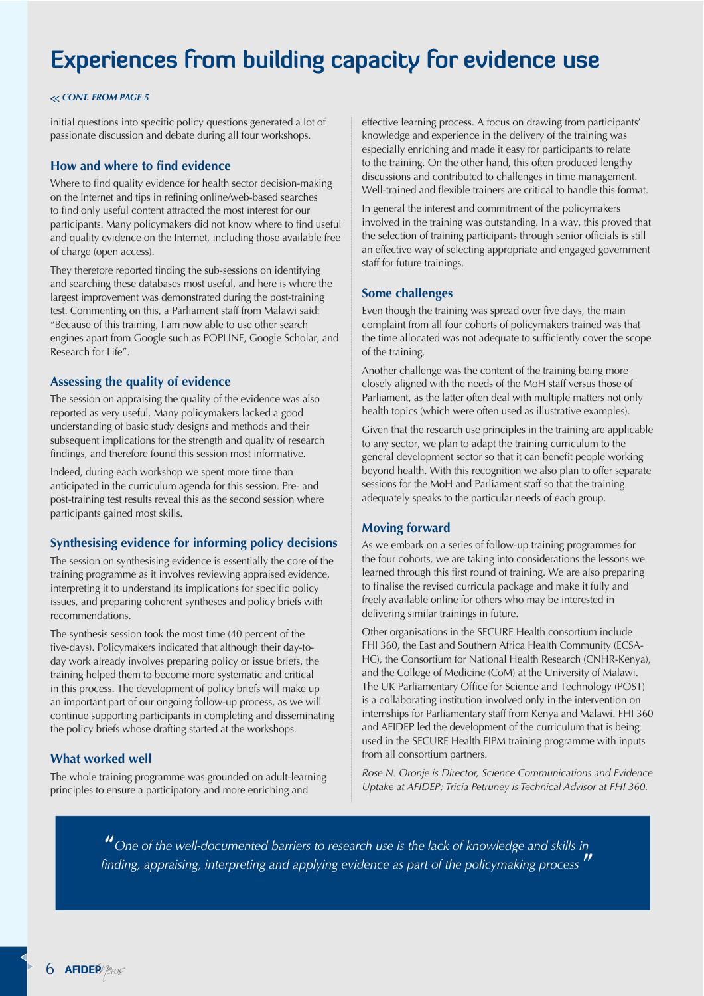### **Experiences from building capacity for evidence use**

#### *CONT. FROM PAGE 5*

initial questions into specific policy questions generated a lot of passionate discussion and debate during all four workshops.

#### **How and where to find evidence**

Where to find quality evidence for health sector decision-making on the Internet and tips in refining online/web-based searches to find only useful content attracted the most interest for our participants. Many policymakers did not know where to find useful and quality evidence on the Internet, including those available free of charge (open access).

They therefore reported finding the sub-sessions on identifying and searching these databases most useful, and here is where the largest improvement was demonstrated during the post-training test. Commenting on this, a Parliament staff from Malawi said: "Because of this training, I am now able to use other search engines apart from Google such as POPLINE, Google Scholar, and Research for Life".

#### **Assessing the quality of evidence**

The session on appraising the quality of the evidence was also reported as very useful. Many policymakers lacked a good understanding of basic study designs and methods and their subsequent implications for the strength and quality of research findings, and therefore found this session most informative.

Indeed, during each workshop we spent more time than anticipated in the curriculum agenda for this session. Pre- and post-training test results reveal this as the second session where participants gained most skills.

#### **Synthesising evidence for informing policy decisions**

The session on synthesising evidence is essentially the core of the training programme as it involves reviewing appraised evidence, interpreting it to understand its implications for specific policy issues, and preparing coherent syntheses and policy briefs with recommendations.

The synthesis session took the most time (40 percent of the five-days). Policymakers indicated that although their day-today work already involves preparing policy or issue briefs, the training helped them to become more systematic and critical in this process. The development of policy briefs will make up an important part of our ongoing follow-up process, as we will continue supporting participants in completing and disseminating the policy briefs whose drafting started at the workshops.

#### **What worked well**

The whole training programme was grounded on adult-learning principles to ensure a participatory and more enriching and

effective learning process. A focus on drawing from participants' knowledge and experience in the delivery of the training was especially enriching and made it easy for participants to relate to the training. On the other hand, this often produced lengthy discussions and contributed to challenges in time management. Well-trained and flexible trainers are critical to handle this format.

In general the interest and commitment of the policymakers involved in the training was outstanding. In a way, this proved that the selection of training participants through senior officials is still an effective way of selecting appropriate and engaged government staff for future trainings.

#### **Some challenges**

Even though the training was spread over five days, the main complaint from all four cohorts of policymakers trained was that the time allocated was not adequate to sufficiently cover the scope of the training.

Another challenge was the content of the training being more closely aligned with the needs of the MoH staff versus those of Parliament, as the latter often deal with multiple matters not only health topics (which were often used as illustrative examples).

Given that the research use principles in the training are applicable to any sector, we plan to adapt the training curriculum to the general development sector so that it can benefit people working beyond health. With this recognition we also plan to offer separate sessions for the MoH and Parliament staff so that the training adequately speaks to the particular needs of each group.

#### **Moving forward**

As we embark on a series of follow-up training programmes for the four cohorts, we are taking into considerations the lessons we learned through this first round of training. We are also preparing to finalise the revised curricula package and make it fully and freely available online for others who may be interested in delivering similar trainings in future.

Other organisations in the SECURE Health consortium include FHI 360, the East and Southern Africa Health Community (ECSA-HC), the Consortium for National Health Research (CNHR-Kenya), and the College of Medicine (CoM) at the University of Malawi. The UK Parliamentary Office for Science and Technology (POST) is a collaborating institution involved only in the intervention on internships for Parliamentary staff from Kenya and Malawi. FHI 360 and AFIDEP led the development of the curriculum that is being used in the SECURE Health EIPM training programme with inputs from all consortium partners.

*Rose N. Oronje is Director, Science Communications and Evidence Uptake at AFIDEP; Tricia Petruney is Technical Advisor at FHI 360.*

**"***One of the well-documented barriers to research use is the lack of knowledge and skills in finding, appraising, interpreting and applying evidence as part of the policymaking process*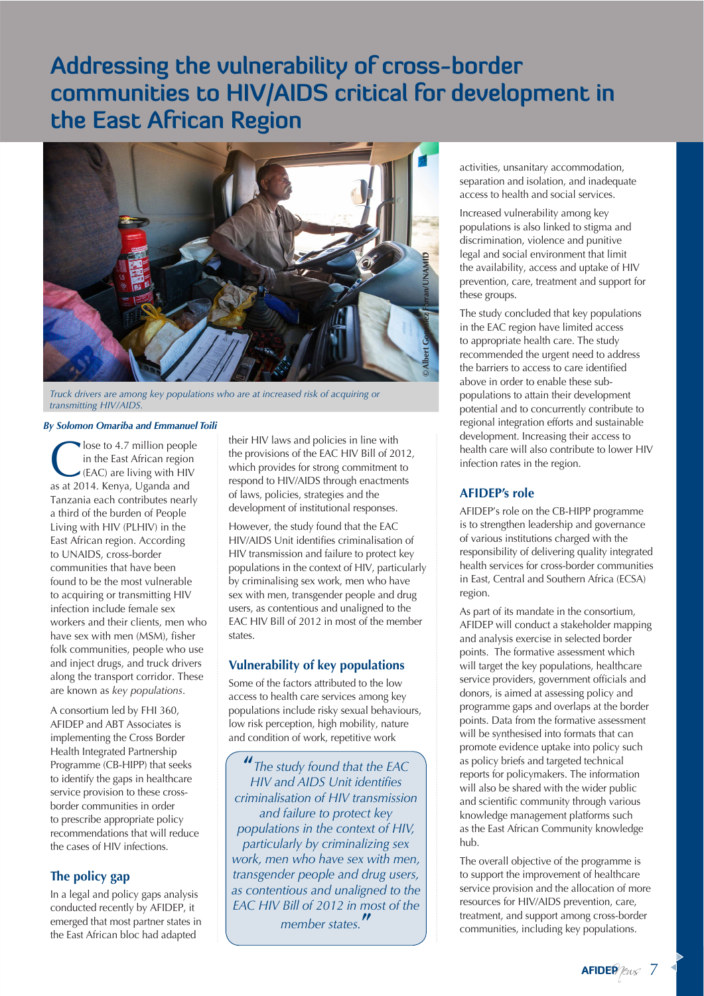### **Addressing the vulnerability of cross-border communities to HIV/AIDS critical for development in the East African Region**



*Truck drivers are among key populations who are at increased risk of acquiring or transmitting HIV/AIDS*.

#### *By Solomon Omariba and Emmanuel Toili*

lose to 4.7 million people<br>in the East African region<br>(EAC) are living with HIV<br>as at 2014. Kenya, Haanda and in the East African region as at 2014. Kenya, Uganda and Tanzania each contributes nearly a third of the burden of People Living with HIV (PLHIV) in the East African region. According to UNAIDS, cross-border communities that have been found to be the most vulnerable to acquiring or transmitting HIV infection include female sex workers and their clients, men who have sex with men (MSM), fisher folk communities, people who use and inject drugs, and truck drivers along the transport corridor. These are known as *key populations*.

A consortium led by FHI 360, AFIDEP and ABT Associates is implementing the Cross Border Health Integrated Partnership Programme (CB-HIPP) that seeks to identify the gaps in healthcare service provision to these crossborder communities in order to prescribe appropriate policy recommendations that will reduce the cases of HIV infections.

#### **The policy gap**

In a legal and policy gaps analysis conducted recently by AFIDEP, it emerged that most partner states in the East African bloc had adapted

their HIV laws and policies in line with the provisions of the EAC HIV Bill of 2012, which provides for strong commitment to respond to HIV/AIDS through enactments of laws, policies, strategies and the development of institutional responses.

However, the study found that the EAC HIV/AIDS Unit identifies criminalisation of HIV transmission and failure to protect key populations in the context of HIV, particularly by criminalising sex work, men who have sex with men, transgender people and drug users, as contentious and unaligned to the EAC HIV Bill of 2012 in most of the member states.

#### **Vulnerability of key populations**

Some of the factors attributed to the low access to health care services among key populations include risky sexual behaviours, low risk perception, high mobility, nature and condition of work, repetitive work

**"***The study found that the EAC HIV and AIDS Unit identifies criminalisation of HIV transmission and failure to protect key populations in the context of HIV, particularly by criminalizing sex work, men who have sex with men, transgender people and drug users, as contentious and unaligned to the EAC HIV Bill of 2012 in most of the member states.***"**

activities, unsanitary accommodation, separation and isolation, and inadequate access to health and social services.

Increased vulnerability among key populations is also linked to stigma and discrimination, violence and punitive legal and social environment that limit the availability, access and uptake of HIV prevention, care, treatment and support for these groups.

The study concluded that key populations in the EAC region have limited access to appropriate health care. The study recommended the urgent need to address the barriers to access to care identified above in order to enable these subpopulations to attain their development potential and to concurrently contribute to regional integration efforts and sustainable development. Increasing their access to health care will also contribute to lower HIV infection rates in the region.

#### **AFIDEP's role**

AFIDEP's role on the CB-HIPP programme is to strengthen leadership and governance of various institutions charged with the responsibility of delivering quality integrated health services for cross-border communities in East, Central and Southern Africa (ECSA) region.

As part of its mandate in the consortium, AFIDEP will conduct a stakeholder mapping and analysis exercise in selected border points. The formative assessment which will target the key populations, healthcare service providers, government officials and donors, is aimed at assessing policy and programme gaps and overlaps at the border points. Data from the formative assessment will be synthesised into formats that can promote evidence uptake into policy such as policy briefs and targeted technical reports for policymakers. The information will also be shared with the wider public and scientific community through various knowledge management platforms such as the East African Community knowledge hub.

The overall objective of the programme is to support the improvement of healthcare service provision and the allocation of more resources for HIV/AIDS prevention, care, treatment, and support among cross-border communities, including key populations.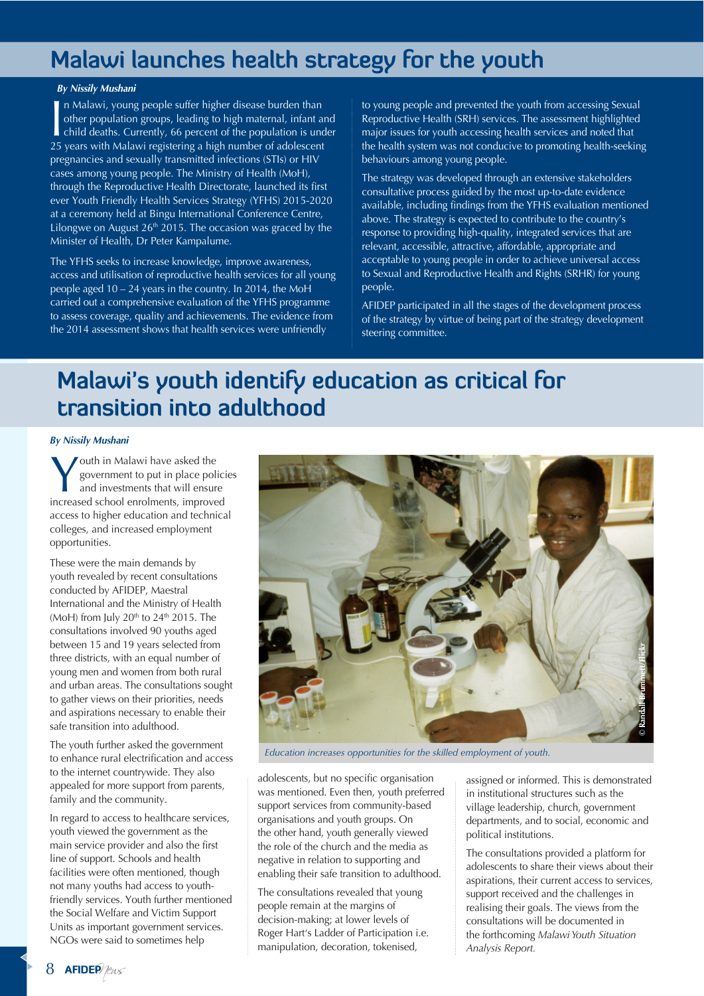### **Malawi launches health strategy for the youth**

#### *By Nissily Mushani*

In Malawi, young people suffer higher disease burden than<br>
other population groups, leading to high maternal, infant are<br>
child deaths. Currently, 66 percent of the population is und<br>
25 years with Malawi registering a hig n Malawi, young people suffer higher disease burden than other population groups, leading to high maternal, infant and child deaths. Currently, 66 percent of the population is under pregnancies and sexually transmitted infections (STIs) or HIV cases among young people. The Ministry of Health (MoH), through the Reproductive Health Directorate, launched its first ever Youth Friendly Health Services Strategy (YFHS) 2015-2020 at a ceremony held at Bingu International Conference Centre, Lilongwe on August  $26<sup>th</sup> 2015$ . The occasion was graced by the Minister of Health, Dr Peter Kampalume.

The YFHS seeks to increase knowledge, improve awareness, access and utilisation of reproductive health services for all young people aged 10 – 24 years in the country. In 2014, the MoH carried out a comprehensive evaluation of the YFHS programme to assess coverage, quality and achievements. The evidence from the 2014 assessment shows that health services were unfriendly

to young people and prevented the youth from accessing Sexual Reproductive Health (SRH) services. The assessment highlighted major issues for youth accessing health services and noted that the health system was not conducive to promoting health-seeking behaviours among young people.

The strategy was developed through an extensive stakeholders consultative process guided by the most up-to-date evidence available, including findings from the YFHS evaluation mentioned above. The strategy is expected to contribute to the country's response to providing high-quality, integrated services that are relevant, accessible, attractive, affordable, appropriate and acceptable to young people in order to achieve universal access to Sexual and Reproductive Health and Rights (SRHR) for young people.

AFIDEP participated in all the stages of the development process of the strategy by virtue of being part of the strategy development steering committee.

### **Malawi's youth identify education as critical for transition into adulthood**

#### *By Nissily Mushani*

Wouth in Malawi have asked the<br>government to put in place polic<br>and investments that will ensure<br>increased school enrolments improved government to put in place policies increased school enrolments, improved access to higher education and technical colleges, and increased employment opportunities.

These were the main demands by youth revealed by recent consultations conducted by AFIDEP, Maestral International and the Ministry of Health (MoH) from July  $20<sup>th</sup>$  to  $24<sup>th</sup>$  2015. The consultations involved 90 youths aged between 15 and 19 years selected from three districts, with an equal number of young men and women from both rural and urban areas. The consultations sought to gather views on their priorities, needs and aspirations necessary to enable their safe transition into adulthood.

The youth further asked the government to enhance rural electrification and access to the internet countrywide. They also appealed for more support from parents, family and the community.

In regard to access to healthcare services, youth viewed the government as the main service provider and also the first line of support. Schools and health facilities were often mentioned, though not many youths had access to youthfriendly services. Youth further mentioned the Social Welfare and Victim Support Units as important government services. NGOs were said to sometimes help



*Education increases opportunities for the skilled employment of youth.*

adolescents, but no specific organisation was mentioned. Even then, youth preferred support services from community-based organisations and youth groups. On the other hand, youth generally viewed the role of the church and the media as negative in relation to supporting and enabling their safe transition to adulthood.

The consultations revealed that young people remain at the margins of decision-making; at lower levels of Roger Hart's Ladder of Participation i.e. manipulation, decoration, tokenised,

assigned or informed. This is demonstrated in institutional structures such as the village leadership, church, government departments, and to social, economic and political institutions.

The consultations provided a platform for adolescents to share their views about their aspirations, their current access to services, support received and the challenges in realising their goals. The views from the consultations will be documented in the forthcoming *Malawi Youth Situation Analysis Report.*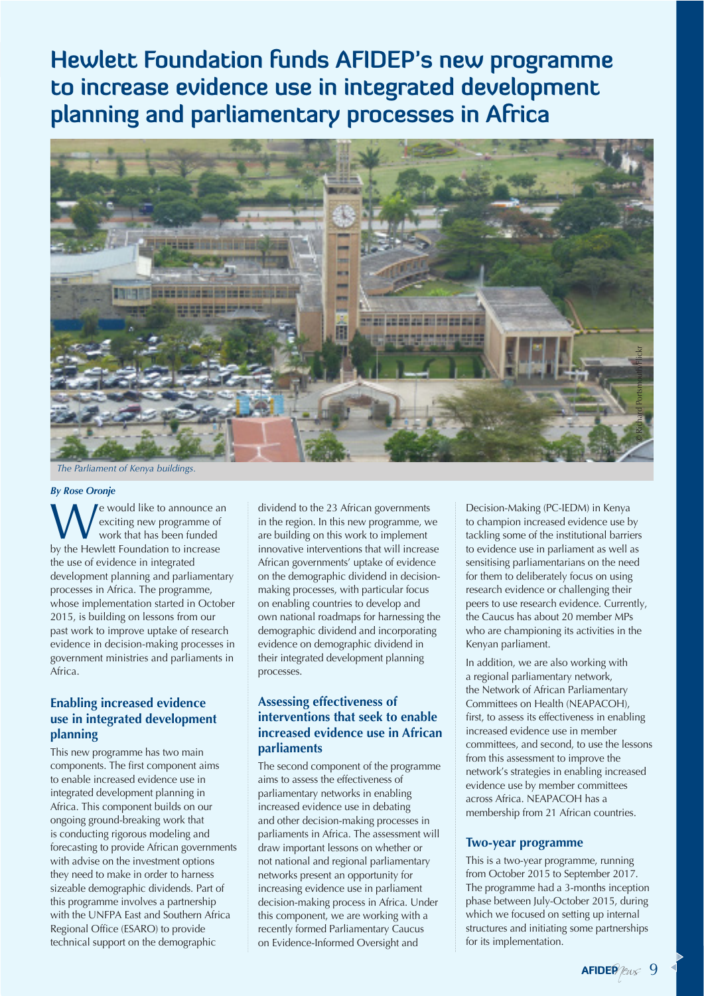**Hewlett Foundation funds AFIDEP's new programme to increase evidence use in integrated development planning and parliamentary processes in Africa**



*The Parliament of Kenya buildings.* 

#### *By Rose Oronje*

e would like to announce an exciting new programme of work that has been funded by the Hewlett Foundation to increase the use of evidence in integrated development planning and parliamentary processes in Africa. The programme, whose implementation started in October 2015, is building on lessons from our past work to improve uptake of research evidence in decision-making processes in government ministries and parliaments in Africa.

#### **Enabling increased evidence use in integrated development planning**

This new programme has two main components. The first component aims to enable increased evidence use in integrated development planning in Africa. This component builds on our ongoing ground-breaking work that is conducting rigorous modeling and forecasting to provide African governments with advise on the investment options they need to make in order to harness sizeable demographic dividends. Part of this programme involves a partnership with the UNFPA East and Southern Africa Regional Office (ESARO) to provide technical support on the demographic

dividend to the 23 African governments in the region. In this new programme, we are building on this work to implement innovative interventions that will increase African governments' uptake of evidence on the demographic dividend in decisionmaking processes, with particular focus on enabling countries to develop and own national roadmaps for harnessing the demographic dividend and incorporating evidence on demographic dividend in their integrated development planning processes.

#### **Assessing effectiveness of interventions that seek to enable increased evidence use in African parliaments**

The second component of the programme aims to assess the effectiveness of parliamentary networks in enabling increased evidence use in debating and other decision-making processes in parliaments in Africa. The assessment will draw important lessons on whether or not national and regional parliamentary networks present an opportunity for increasing evidence use in parliament decision-making process in Africa. Under this component, we are working with a recently formed Parliamentary Caucus on Evidence-Informed Oversight and

Decision-Making (PC-IEDM) in Kenya to champion increased evidence use by tackling some of the institutional barriers to evidence use in parliament as well as sensitising parliamentarians on the need for them to deliberately focus on using research evidence or challenging their peers to use research evidence. Currently, the Caucus has about 20 member MPs who are championing its activities in the Kenyan parliament.

In addition, we are also working with a regional parliamentary network, the Network of African Parliamentary Committees on Health (NEAPACOH), first, to assess its effectiveness in enabling increased evidence use in member committees, and second, to use the lessons from this assessment to improve the network's strategies in enabling increased evidence use by member committees across Africa. NEAPACOH has a membership from 21 African countries.

#### **Two-year programme**

This is a two-year programme, running from October 2015 to September 2017. The programme had a 3-months inception phase between July-October 2015, during which we focused on setting up internal structures and initiating some partnerships for its implementation.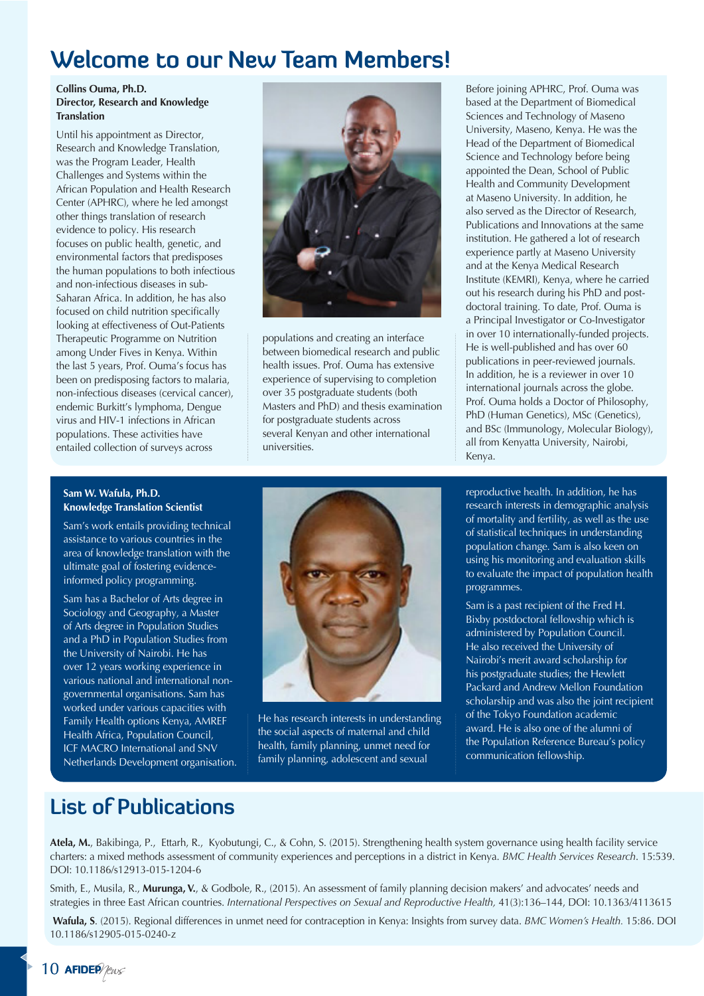### **Welcome to our New Team Members!**

#### **Collins Ouma, Ph.D. Director, Research and Knowledge Translation**

Until his appointment as Director, Research and Knowledge Translation, was the Program Leader, Health Challenges and Systems within the African Population and Health Research Center (APHRC), where he led amongst other things translation of research evidence to policy. His research focuses on public health, genetic, and environmental factors that predisposes the human populations to both infectious and non-infectious diseases in sub-Saharan Africa. In addition, he has also focused on child nutrition specifically looking at effectiveness of Out-Patients Therapeutic Programme on Nutrition among Under Fives in Kenya. Within the last 5 years, Prof. Ouma's focus has been on predisposing factors to malaria, non-infectious diseases (cervical cancer), endemic Burkitt's lymphoma, Dengue virus and HIV-1 infections in African populations. These activities have entailed collection of surveys across



populations and creating an interface between biomedical research and public health issues. Prof. Ouma has extensive experience of supervising to completion over 35 postgraduate students (both Masters and PhD) and thesis examination for postgraduate students across several Kenyan and other international universities.

Before joining APHRC, Prof. Ouma was based at the Department of Biomedical Sciences and Technology of Maseno University, Maseno, Kenya. He was the Head of the Department of Biomedical Science and Technology before being appointed the Dean, School of Public Health and Community Development at Maseno University. In addition, he also served as the Director of Research, Publications and Innovations at the same institution. He gathered a lot of research experience partly at Maseno University and at the Kenya Medical Research Institute (KEMRI), Kenya, where he carried out his research during his PhD and postdoctoral training. To date, Prof. Ouma is a Principal Investigator or Co-Investigator in over 10 internationally-funded projects. He is well-published and has over 60 publications in peer-reviewed journals. In addition, he is a reviewer in over 10 international journals across the globe. Prof. Ouma holds a Doctor of Philosophy, PhD (Human Genetics), MSc (Genetics), and BSc (Immunology, Molecular Biology), all from Kenyatta University, Nairobi, Kenya.

#### **Sam W. Wafula, Ph.D. Knowledge Translation Scientist**

Sam's work entails providing technical assistance to various countries in the area of knowledge translation with the ultimate goal of fostering evidenceinformed policy programming.

Sam has a Bachelor of Arts degree in Sociology and Geography, a Master of Arts degree in Population Studies and a PhD in Population Studies from the University of Nairobi. He has over 12 years working experience in various national and international nongovernmental organisations. Sam has worked under various capacities with Family Health options Kenya, AMREF Health Africa, Population Council, ICF MACRO International and SNV Netherlands Development organisation.



He has research interests in understanding the social aspects of maternal and child health, family planning, unmet need for family planning, adolescent and sexual

reproductive health. In addition, he has research interests in demographic analysis of mortality and fertility, as well as the use of statistical techniques in understanding population change. Sam is also keen on using his monitoring and evaluation skills to evaluate the impact of population health programmes.

Sam is a past recipient of the Fred H. Bixby postdoctoral fellowship which is administered by Population Council. He also received the University of Nairobi's merit award scholarship for his postgraduate studies; the Hewlett Packard and Andrew Mellon Foundation scholarship and was also the joint recipient of the Tokyo Foundation academic award. He is also one of the alumni of the Population Reference Bureau's policy communication fellowship.

### **List of Publications**

**Atela, M.**, Bakibinga, P., Ettarh, R., Kyobutungi, C., & Cohn, S. (2015). Strengthening health system governance using health facility service charters: a mixed methods assessment of community experiences and perceptions in a district in Kenya. *BMC Health Services Research*. 15:539. DOI: 10.1186/s12913-015-1204-6

Smith, E., Musila, R., **Murunga, V.**, & Godbole, R., (2015). An assessment of family planning decision makers' and advocates' needs and strategies in three East African countries. *International Perspectives on Sexual and Reproductive Health,* 41(3):136–144, DOI: 10.1363/4113615

**Wafula, S**. (2015). Regional differences in unmet need for contraception in Kenya: Insights from survey data. *BMC Women's Health.* 15:86. DOI 10.1186/s12905-015-0240-z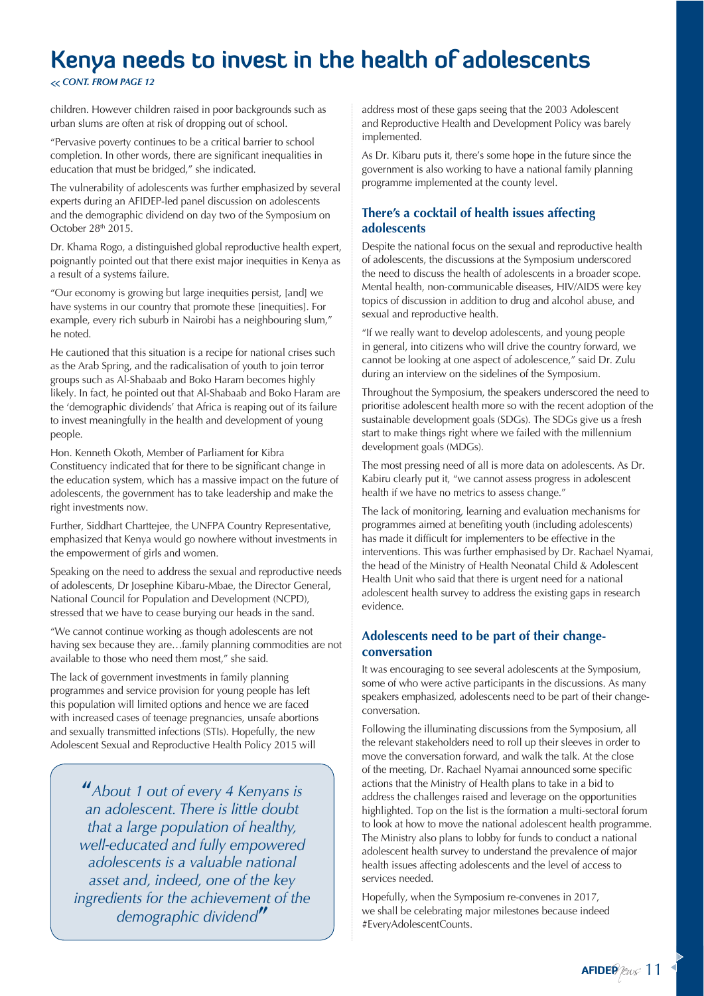## **Kenya needs to invest in the health of adolescents**

#### *CONT. FROM PAGE 12*

children. However children raised in poor backgrounds such as urban slums are often at risk of dropping out of school.

"Pervasive poverty continues to be a critical barrier to school completion. In other words, there are significant inequalities in education that must be bridged," she indicated.

The vulnerability of adolescents was further emphasized by several experts during an AFIDEP-led panel discussion on adolescents and the demographic dividend on day two of the Symposium on October 28th 2015.

Dr. Khama Rogo, a distinguished global reproductive health expert, poignantly pointed out that there exist major inequities in Kenya as a result of a systems failure.

"Our economy is growing but large inequities persist, [and] we have systems in our country that promote these [inequities]. For example, every rich suburb in Nairobi has a neighbouring slum," he noted.

He cautioned that this situation is a recipe for national crises such as the Arab Spring, and the radicalisation of youth to join terror groups such as Al-Shabaab and Boko Haram becomes highly likely. In fact, he pointed out that Al-Shabaab and Boko Haram are the 'demographic dividends' that Africa is reaping out of its failure to invest meaningfully in the health and development of young people.

Hon. Kenneth Okoth, Member of Parliament for Kibra Constituency indicated that for there to be significant change in the education system, which has a massive impact on the future of adolescents, the government has to take leadership and make the right investments now.

Further, Siddhart Charttejee, the UNFPA Country Representative, emphasized that Kenya would go nowhere without investments in the empowerment of girls and women.

Speaking on the need to address the sexual and reproductive needs of adolescents, Dr Josephine Kibaru-Mbae, the Director General, National Council for Population and Development (NCPD), stressed that we have to cease burying our heads in the sand.

"We cannot continue working as though adolescents are not having sex because they are…family planning commodities are not available to those who need them most," she said.

The lack of government investments in family planning programmes and service provision for young people has left this population will limited options and hence we are faced with increased cases of teenage pregnancies, unsafe abortions and sexually transmitted infections (STIs). Hopefully, the new Adolescent Sexual and Reproductive Health Policy 2015 will

**"***About 1 out of every 4 Kenyans is an adolescent. There is little doubt that a large population of healthy, well-educated and fully empowered adolescents is a valuable national asset and, indeed, one of the key ingredients for the achievement of the demographic dividend***"**

address most of these gaps seeing that the 2003 Adolescent and Reproductive Health and Development Policy was barely implemented.

As Dr. Kibaru puts it, there's some hope in the future since the government is also working to have a national family planning programme implemented at the county level.

#### **There's a cocktail of health issues affecting adolescents**

Despite the national focus on the sexual and reproductive health of adolescents, the discussions at the Symposium underscored the need to discuss the health of adolescents in a broader scope. Mental health, non-communicable diseases, HIV/AIDS were key topics of discussion in addition to drug and alcohol abuse, and sexual and reproductive health.

"If we really want to develop adolescents, and young people in general, into citizens who will drive the country forward, we cannot be looking at one aspect of adolescence," said Dr. Zulu during an interview on the sidelines of the Symposium.

Throughout the Symposium, the speakers underscored the need to prioritise adolescent health more so with the recent adoption of the sustainable development goals (SDGs). The SDGs give us a fresh start to make things right where we failed with the millennium development goals (MDGs).

The most pressing need of all is more data on adolescents. As Dr. Kabiru clearly put it, "we cannot assess progress in adolescent health if we have no metrics to assess change."

The lack of monitoring, learning and evaluation mechanisms for programmes aimed at benefiting youth (including adolescents) has made it difficult for implementers to be effective in the interventions. This was further emphasised by Dr. Rachael Nyamai, the head of the Ministry of Health Neonatal Child & Adolescent Health Unit who said that there is urgent need for a national adolescent health survey to address the existing gaps in research evidence.

#### **Adolescents need to be part of their changeconversation**

It was encouraging to see several adolescents at the Symposium, some of who were active participants in the discussions. As many speakers emphasized, adolescents need to be part of their changeconversation.

Following the illuminating discussions from the Symposium, all the relevant stakeholders need to roll up their sleeves in order to move the conversation forward, and walk the talk. At the close of the meeting, Dr. Rachael Nyamai announced some specific actions that the Ministry of Health plans to take in a bid to address the challenges raised and leverage on the opportunities highlighted. Top on the list is the formation a multi-sectoral forum to look at how to move the national adolescent health programme. The Ministry also plans to lobby for funds to conduct a national adolescent health survey to understand the prevalence of major health issues affecting adolescents and the level of access to services needed.

Hopefully, when the Symposium re-convenes in 2017, we shall be celebrating major milestones because indeed #EveryAdolescentCounts.